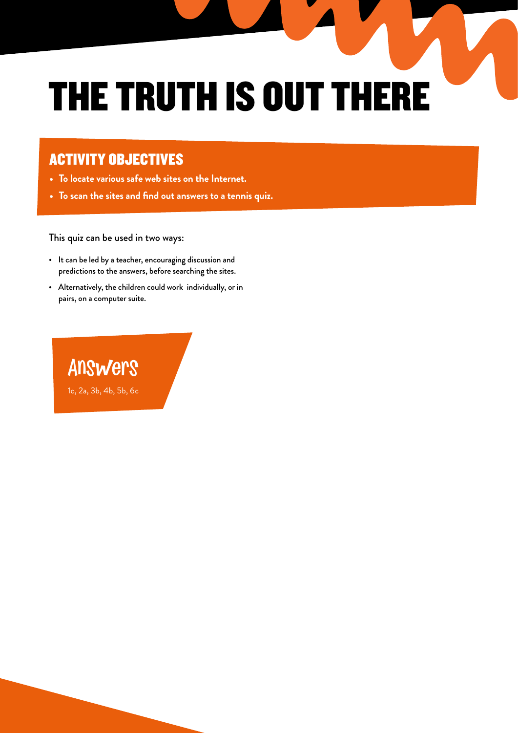# THE TRUTH IS OUT THERE

### ACTIVITY OBJECTIVES

- **• To locate various safe web sites on the Internet.**
- **• To scan the sites and find out answers to a tennis quiz.**

### This quiz can be used in two ways:

- It can be led by a teacher, encouraging discussion and predictions to the answers, before searching the sites.
- Alternatively, the children could work individually, or in pairs, on a computer suite.

Answers 1c, 2a, 3b, 4b, 5b, 6c